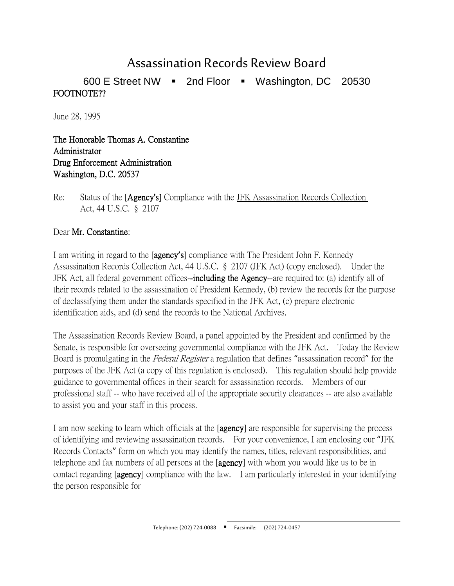## Assassination Records Review Board

600 E Street NW  $\blacksquare$  2nd Floor  $\blacksquare$  Washington, DC 20530 FOOTNOTE??

June 28, 1995

The Honorable Thomas A. Constantine Administrator Drug Enforcement Administration Washington, D.C. 20537

Re: Status of the [Agency's] Compliance with the JFK Assassination Records Collection Act, 44 U.S.C. § 2107

## Dear Mr. Constantine:

I am writing in regard to the [agency**'**s] compliance with The President John F. Kennedy Assassination Records Collection Act, 44 U.S.C. § 2107 (JFK Act) (copy enclosed). Under the JFK Act, all federal government offices-including the Agency--are required to: (a) identify all of their records related to the assassination of President Kennedy, (b) review the records for the purpose of declassifying them under the standards specified in the JFK Act, (c) prepare electronic identification aids, and (d) send the records to the National Archives.

The Assassination Records Review Board, a panel appointed by the President and confirmed by the Senate, is responsible for overseeing governmental compliance with the JFK Act. Today the Review Board is promulgating in the Federal Register a regulation that defines "assassination record" for the purposes of the JFK Act (a copy of this regulation is enclosed). This regulation should help provide guidance to governmental offices in their search for assassination records. Members of our professional staff -- who have received all of the appropriate security clearances -- are also available to assist you and your staff in this process.

I am now seeking to learn which officials at the [agency] are responsible for supervising the process of identifying and reviewing assassination records. For your convenience, I am enclosing our "JFK Records Contacts" form on which you may identify the names, titles, relevant responsibilities, and telephone and fax numbers of all persons at the [agency] with whom you would like us to be in contact regarding [agency] compliance with the law. I am particularly interested in your identifying the person responsible for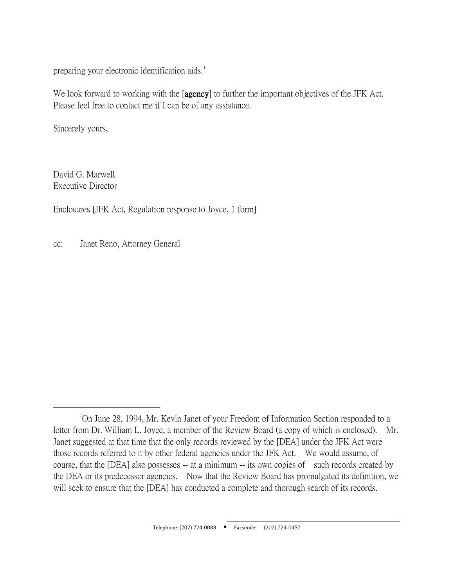preparing your electronic identification aids.<sup>[1](#page-1-0)</sup>

We look forward to working with the [agency] to further the important objectives of the JFK Act. Please feel free to contact me if I can be of any assistance.

Sincerely yours,

David G. Marwell Executive Director

Enclosures [JFK Act, Regulation response to Joyce, 1 form]

cc: Janet Reno, Attorney General

<span id="page-1-0"></span> $\overline{\phantom{a}}$ On June 28, 1994, Mr. Kevin Janet of your Freedom of Information Section responded to a letter from Dr. William L. Joyce, a member of the Review Board (a copy of which is enclosed). Mr. Janet suggested at that time that the only records reviewed by the [DEA] under the JFK Act were those records referred to it by other federal agencies under the JFK Act. We would assume, of course, that the [DEA] also possesses -- at a minimum -- its own copies of such records created by the DEA or its predecessor agencies. Now that the Review Board has promulgated its definition, we will seek to ensure that the [DEA] has conducted a complete and thorough search of its records.